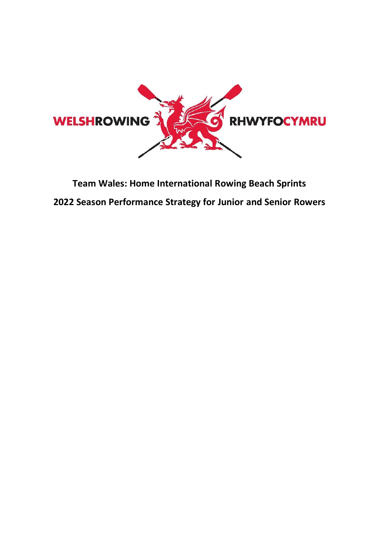

# **Team Wales: Home International Rowing Beach Sprints 2022 Season Performance Strategy for Junior and Senior Rowers**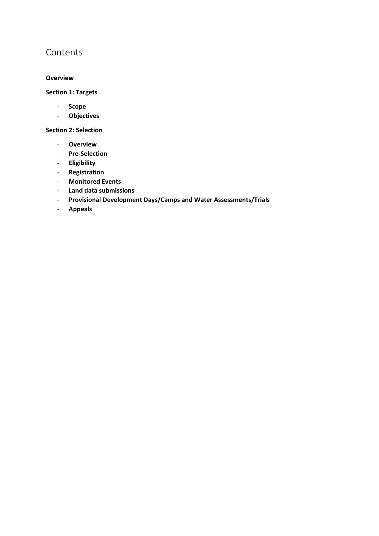# Contents

## **Overview**

**Section 1: Targets** 

- **Scope**
- **Objectives**

**Section 2: Selection** 

- **Overview**
- **Pre-Selection**
- **Eligibility**
- **Registration**
- **Monitored Events**
- **Land data submissions**
- **Provisional Development Days/Camps and Water Assessments/Trials**
- **Appeals**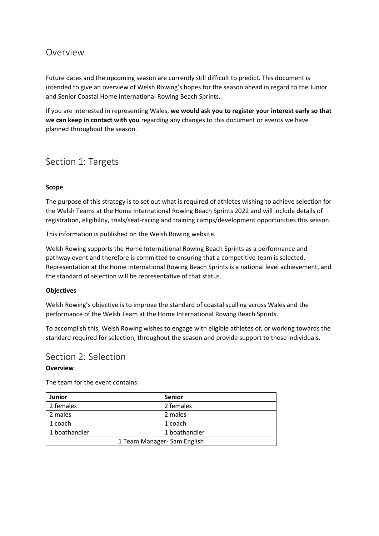# Overview

Future dates and the upcoming season are currently still difficult to predict. This document is intended to give an overview of Welsh Rowing's hopes for the season ahead in regard to the Junior and Senior Coastal Home International Rowing Beach Sprints.

If you are interested in representing Wales, **we would ask you to register your interest early so that we can keep in contact with you** regarding any changes to this document or events we have planned throughout the season.

# Section 1: Targets

### **Scope**

The purpose of this strategy is to set out what is required of athletes wishing to achieve selection for the Welsh Teams at the Home International Rowing Beach Sprints 2022 and will include details of registration, eligibility, trials/seat-racing and training camps/development opportunities this season.

This information is published on the Welsh Rowing website.

Welsh Rowing supports the Home International Rowing Beach Sprints as a performance and pathway event and therefore is committed to ensuring that a competitive team is selected. Representation at the Home International Rowing Beach Sprints is a national level achievement, and the standard of selection will be representative of that status.

#### **Objectives**

Welsh Rowing's objective is to improve the standard of coastal sculling across Wales and the performance of the Welsh Team at the Home International Rowing Beach Sprints.

To accomplish this, Welsh Rowing wishes to engage with eligible athletes of, or working towards the standard required for selection, throughout the season and provide support to these individuals.

## Section 2: Selection

#### **Overview**

The team for the event contains:

| <b>Junior</b>               | <b>Senior</b> |  |
|-----------------------------|---------------|--|
| 2 females                   | 2 females     |  |
| 2 males                     | 2 males       |  |
| 1 coach                     | 1 coach       |  |
| 1 boathandler               | 1 boathandler |  |
| 1 Team Manager- Sam English |               |  |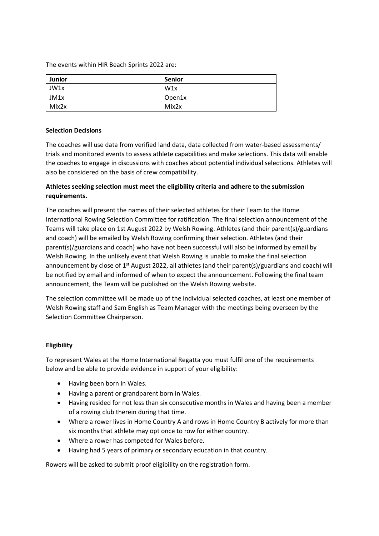The events within HIR Beach Sprints 2022 are:

| <b>Junior</b> | <b>Senior</b> |
|---------------|---------------|
| JW1x          | W1x           |
| JM1x          | Open1x        |
| Mix2x         | Mix2x         |

#### **Selection Decisions**

The coaches will use data from verified land data, data collected from water-based assessments/ trials and monitored events to assess athlete capabilities and make selections. This data will enable the coaches to engage in discussions with coaches about potential individual selections. Athletes will also be considered on the basis of crew compatibility.

## **Athletes seeking selection must meet the eligibility criteria and adhere to the submission requirements.**

The coaches will present the names of their selected athletes for their Team to the Home International Rowing Selection Committee for ratification. The final selection announcement of the Teams will take place on 1st August 2022 by Welsh Rowing. Athletes (and their parent(s)/guardians and coach) will be emailed by Welsh Rowing confirming their selection. Athletes (and their parent(s)/guardians and coach) who have not been successful will also be informed by email by Welsh Rowing. In the unlikely event that Welsh Rowing is unable to make the final selection announcement by close of 1<sup>st</sup> August 2022, all athletes (and their parent(s)/guardians and coach) will be notified by email and informed of when to expect the announcement. Following the final team announcement, the Team will be published on the Welsh Rowing website.

The selection committee will be made up of the individual selected coaches, at least one member of Welsh Rowing staff and Sam English as Team Manager with the meetings being overseen by the Selection Committee Chairperson.

#### **Eligibility**

To represent Wales at the Home International Regatta you must fulfil one of the requirements below and be able to provide evidence in support of your eligibility:

- Having been born in Wales.
- Having a parent or grandparent born in Wales.
- Having resided for not less than six consecutive months in Wales and having been a member of a rowing club therein during that time.
- Where a rower lives in Home Country A and rows in Home Country B actively for more than six months that athlete may opt once to row for either country.
- Where a rower has competed for Wales before.
- Having had 5 years of primary or secondary education in that country.

Rowers will be asked to submit proof eligibility on the registration form.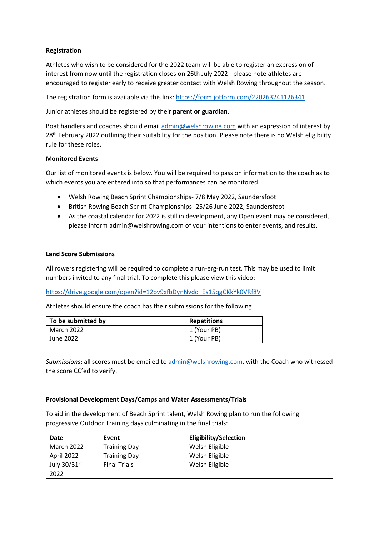## **Registration**

Athletes who wish to be considered for the 2022 team will be able to register an expression of interest from now until the registration closes on 26th July 2022 - please note athletes are encouraged to register early to receive greater contact with Welsh Rowing throughout the season.

The registration form is available via this link:<https://form.jotform.com/220263241126341>

Junior athletes should be registered by their **parent or guardian**.

Boat handlers and coaches should emai[l admin@welshrowing.com](mailto:admin@welshrowing.com) with an expression of interest by 28<sup>th</sup> February 2022 outlining their suitability for the position. Please note there is no Welsh eligibility rule for these roles.

#### **Monitored Events**

Our list of monitored events is below. You will be required to pass on information to the coach as to which events you are entered into so that performances can be monitored.

- Welsh Rowing Beach Sprint Championships- 7/8 May 2022, Saundersfoot
- British Rowing Beach Sprint Championships- 25/26 June 2022, Saundersfoot
- As the coastal calendar for 2022 is still in development, any Open event may be considered, please inform admin@welshrowing.com of your intentions to enter events, and results.

#### **Land Score Submissions**

All rowers registering will be required to complete a run-erg-run test. This may be used to limit numbers invited to any final trial. To complete this please view this video:

[https://drive.google.com/open?id=12ov9xfbDynNvdq\\_Es15qgCKkYk0VRf8V](https://drive.google.com/open?id=12ov9xfbDynNvdq_Es15qgCKkYk0VRf8V)

Athletes should ensure the coach has their submissions for the following.

| To be submitted by | <b>Repetitions</b> |
|--------------------|--------------------|
| March 2022         | 1 (Your PB)        |
| June 2022          | 1 (Your PB)        |

*Submissions***:** all scores must be emailed t[o admin@welshrowing.com,](mailto:admin@welshrowing.com) with the Coach who witnessed the score CC'ed to verify.

#### **Provisional Development Days/Camps and Water Assessments/Trials**

To aid in the development of Beach Sprint talent, Welsh Rowing plan to run the following progressive Outdoor Training days culminating in the final trials:

| <b>Date</b>       | Event               | <b>Eligibility/Selection</b> |
|-------------------|---------------------|------------------------------|
| <b>March 2022</b> | <b>Training Day</b> | Welsh Eligible               |
| April 2022        | <b>Training Day</b> | Welsh Eligible               |
| July 30/31st      | <b>Final Trials</b> | Welsh Eligible               |
| 2022              |                     |                              |